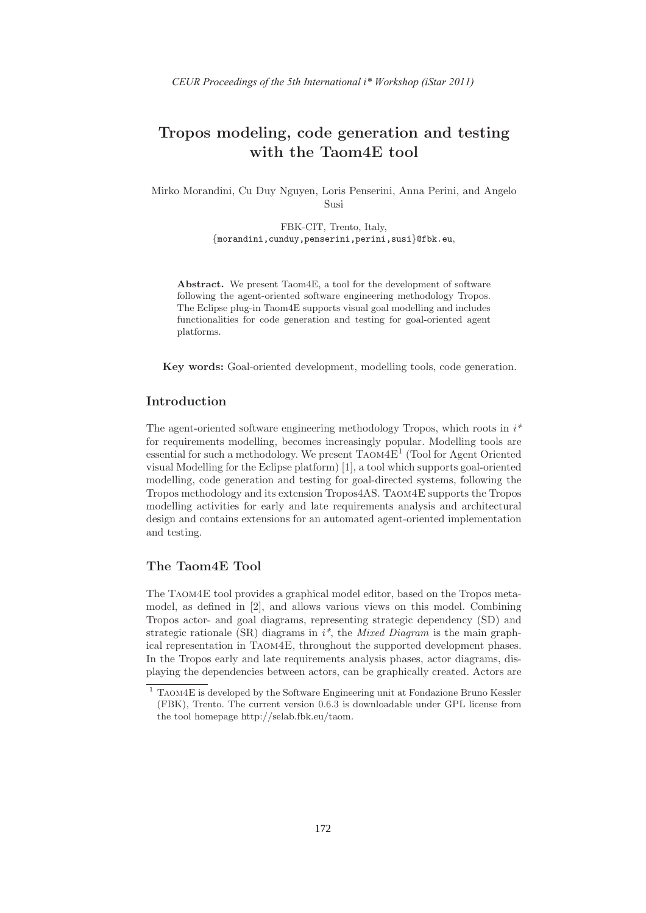# Tropos modeling, code generation and testing with the Taom4E tool

Mirko Morandini, Cu Duy Nguyen, Loris Penserini, Anna Perini, and Angelo Susi

> FBK-CIT, Trento, Italy, {morandini,cunduy,penserini,perini,susi}@fbk.eu,

Abstract. We present Taom4E, a tool for the development of software following the agent-oriented software engineering methodology Tropos. The Eclipse plug-in Taom4E supports visual goal modelling and includes functionalities for code generation and testing for goal-oriented agent platforms.

Key words: Goal-oriented development, modelling tools, code generation.

## Introduction

The agent-oriented software engineering methodology Tropos, which roots in  $i^*$ for requirements modelling, becomes increasingly popular. Modelling tools are essential for such a methodology. We present TAOM $4E^1$  (Tool for Agent Oriented visual Modelling for the Eclipse platform) [1], a tool which supports goal-oriented modelling, code generation and testing for goal-directed systems, following the Tropos methodology and its extension Tropos4AS. Taom4E supports the Tropos modelling activities for early and late requirements analysis and architectural design and contains extensions for an automated agent-oriented implementation and testing.

# The Taom4E Tool

The Taom4E tool provides a graphical model editor, based on the Tropos metamodel, as defined in [2], and allows various views on this model. Combining Tropos actor- and goal diagrams, representing strategic dependency (SD) and strategic rationale (SR) diagrams in  $i^*$ , the *Mixed Diagram* is the main graphical representation in Taom4E, throughout the supported development phases. In the Tropos early and late requirements analysis phases, actor diagrams, displaying the dependencies between actors, can be graphically created. Actors are

 $^{\rm 1}$  TAOM4E is developed by the Software Engineering unit at Fondazione Bruno Kessler (FBK), Trento. The current version 0.6.3 is downloadable under GPL license from the tool homepage http://selab.fbk.eu/taom.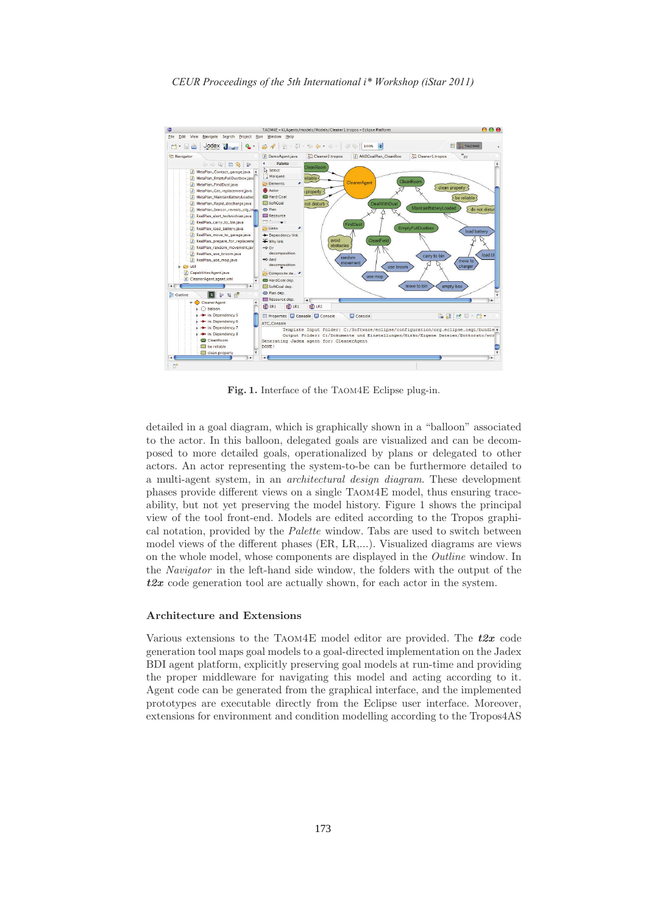

Fig. 1. Interface of the Taom4E Eclipse plug-in.

detailed in a goal diagram, which is graphically shown in a "balloon" associated to the actor. In this balloon, delegated goals are visualized and can be decomposed to more detailed goals, operationalized by plans or delegated to other actors. An actor representing the system-to-be can be furthermore detailed to a multi-agent system, in an architectural design diagram. These development phases provide different views on a single Taom4E model, thus ensuring traceability, but not yet preserving the model history. Figure 1 shows the principal view of the tool front-end. Models are edited according to the Tropos graphical notation, provided by the Palette window. Tabs are used to switch between model views of the different phases (ER, LR,...). Visualized diagrams are views on the whole model, whose components are displayed in the Outline window. In the Navigator in the left-hand side window, the folders with the output of the  $t2x$  code generation tool are actually shown, for each actor in the system.

#### Architecture and Extensions

Various extensions to the TAOM4E model editor are provided. The  $t2x$  code generation tool maps goal models to a goal-directed implementation on the Jadex BDI agent platform, explicitly preserving goal models at run-time and providing the proper middleware for navigating this model and acting according to it. Agent code can be generated from the graphical interface, and the implemented prototypes are executable directly from the Eclipse user interface. Moreover, extensions for environment and condition modelling according to the Tropos4AS